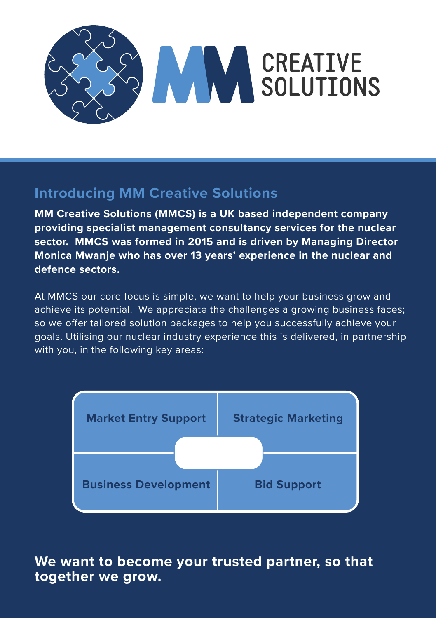

## **Introducing MM Creative Solutions**

**MM Creative Solutions (MMCS) is a UK based independent company providing specialist management consultancy services for the nuclear sector. MMCS was formed in 2015 and is driven by Managing Director Monica Mwanje who has over 13 years' experience in the nuclear and defence sectors.** 

At MMCS our core focus is simple, we want to help your business grow and achieve its potential. We appreciate the challenges a growing business faces; so we offer tailored solution packages to help you successfully achieve your goals. Utilising our nuclear industry experience this is delivered, in partnership with you, in the following key areas:



## **We want to become your trusted partner, so that together we grow.**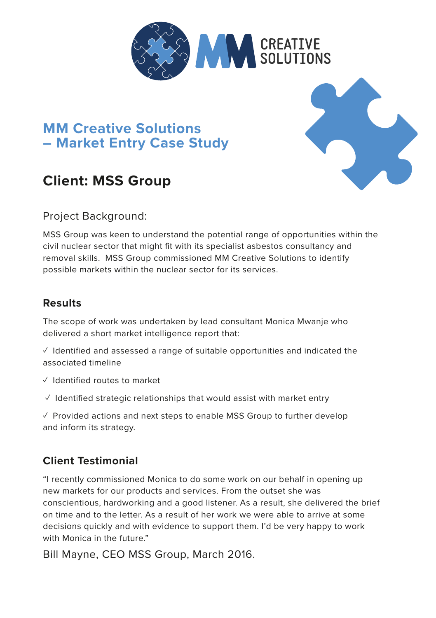

## **MM Creative Solutions – Market Entry Case Study**

## **Client: MSS Group**



MSS Group was keen to understand the potential range of opportunities within the civil nuclear sector that might fit with its specialist asbestos consultancy and removal skills. MSS Group commissioned MM Creative Solutions to identify possible markets within the nuclear sector for its services.

#### **Results**

The scope of work was undertaken by lead consultant Monica Mwanje who delivered a short market intelligence report that:

 $\sqrt{ }$  Identified and assessed a range of suitable opportunities and indicated the associated timeline

- ✓ Identified routes to market
- $\sqrt{2}$  Identified strategic relationships that would assist with market entry

 $\sqrt{2}$  Provided actions and next steps to enable MSS Group to further develop and inform its strategy.

#### **Client Testimonial**

"I recently commissioned Monica to do some work on our behalf in opening up new markets for our products and services. From the outset she was conscientious, hardworking and a good listener. As a result, she delivered the brief on time and to the letter. As a result of her work we were able to arrive at some decisions quickly and with evidence to support them. I'd be very happy to work with Monica in the future."

Bill Mayne, CEO MSS Group, March 2016.

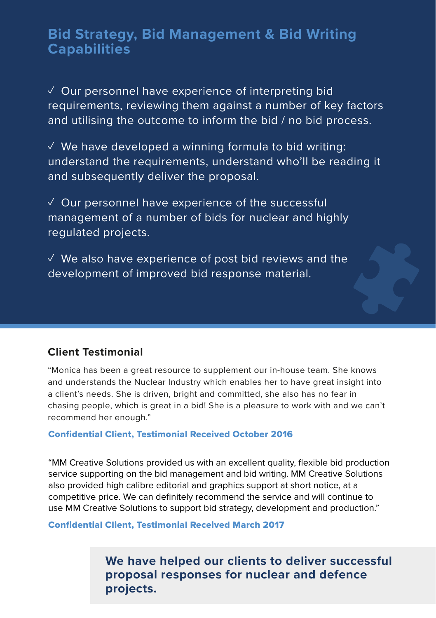## **Bid Strategy, Bid Management & Bid Writing Capabilities Capabilities**

 $\checkmark$  Our personnel have experience of interpreting bid requirements, reviewing them against a number of key factors and utilising the outcome to inform the bid / no bid process.<br> $\overline{\phantom{a}}$ 

 $\checkmark$  We have developed a winning formula to bid writing:  $\checkmark$ we have developed a willing formala to bid writing.<br>understand the requirements, understand who'll be reading it and subsequently deliver the proposal. ur personnel have experience of the successful term and the successful term of the successful term of the successful term of the successful term of the successful term of the successful term of the successful term of the **Capabilities**<br>Capabilities

 $\checkmark$  Our personnel have experience of the successful management of a number of bids for nuclear and highly regulated projects. The outcome to information the bid  $\frac{1}{2}$  $\sim$  We also have experience of post bid reviews and the post bid reviews and the views and the views and the views and the views and the views and the views and the views and the views and the views and the views and the

 $\checkmark$  We also have experience of post bid reviews and the development of improved bid response material. nave experience of post bid reviews and the

#### **Client Testimonial**  $\mathcal{L} = \mathcal{L} \times \mathcal{L}$ development of improved bid response material.

**Client Testimonial** "Monica has been a great resource to supplement our in-house team. She knows a client's needs. She is driven, bright and committed, she also has no fear in chasing people, which is great in a bid! She is a pleasure to work with and we can't recommend her enough." chasing people, which is great in a bid in a bid in a bid in a bid in a bid in a pleasure to work with and we can and understands the Nuclear Industry which enables her to have great insight into

## **Confidential Client, Testimonial Received October 2016**

regulated projects.

**We have helped our clients to deliver successful proposal responses for nuclear and defence**  Confidential Client, Testimonial Received October 2016. use MM Creative Solutions to support bid strategy, development and production." competitive price. We can definitely recommend the service and will continue to "MM Creative Solutions provided us with an excellent quality, flexible bid production service supporting on the bid management and bid writing. MM Creative Solutions also provided high calibre editorial and graphics support at short notice, at a

# **proposal responses for nuclear and defence projects.** Confidential Client, Testimonial Received March 2017

**We have helped our clients to deliver successful proposal responses for nuclear and defence projects.**